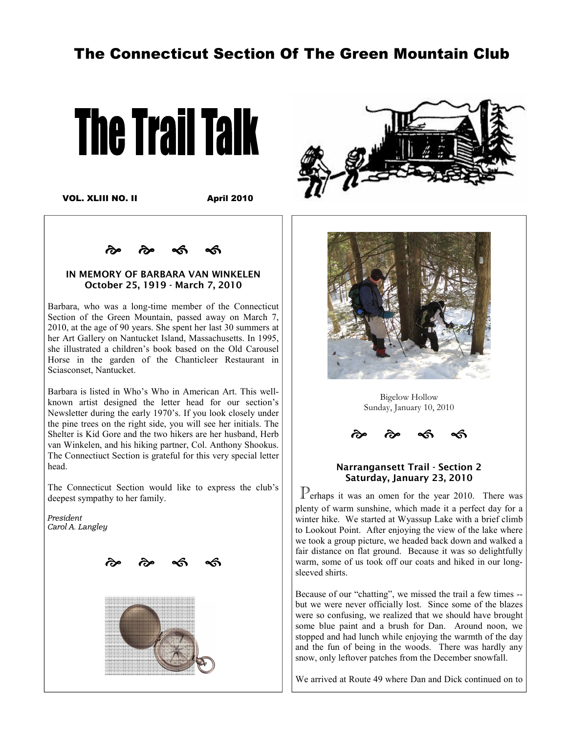# The Connecticut Section Of The Green Mountain Club



VOL. XLIII NO. II

April 2010

a<br>20 a do  $\sim$ 

#### IN MEMORY OF BARBARA VAN WINKELEN October 25, 1919 - March 7, 2010

Barbara, who was a long-time member of the Connecticut Section of the Green Mountain, passed away on March 7, 2010, at the age of 90 years. She spent her last 30 summers at her Art Gallery on Nantucket Island, Massachusetts. In 1995, she illustrated a children's book based on the Old Carousel Horse in the garden of the Chanticleer Restaurant in Sciasconset, Nantucket.

Barbara is listed in Who's Who in American Art. This wellknown artist designed the letter head for our section's Newsletter during the early 1970's. If you look closely under the pine trees on the right side, you will see her initials. The Shelter is Kid Gore and the two hikers are her husband, Herb van Winkelen, and his hiking partner, Col. Anthony Shookus. The Connectiuct Section is grateful for this very special letter head.

The Connecticut Section would like to express the club's deepest sympathy to her family.

*President Carol A. Langley* 







Bigelow Hollow Sunday, January 10, 2010  $\mathcal{L}$ 



#### Narrangansett Trail - Section 2 Saturday, January 23, 2010

 $\mathbb{P}_{\text{erhaps}}$  it was an omen for the year 2010. There was plenty of warm sunshine, which made it a perfect day for a winter hike. We started at Wyassup Lake with a brief climb to Lookout Point. After enjoying the view of the lake where we took a group picture, we headed back down and walked a fair distance on flat ground. Because it was so delightfully warm, some of us took off our coats and hiked in our longsleeved shirts.

Because of our "chatting", we missed the trail a few times - but we were never officially lost. Since some of the blazes were so confusing, we realized that we should have brought some blue paint and a brush for Dan. Around noon, we stopped and had lunch while enjoying the warmth of the day and the fun of being in the woods. There was hardly any snow, only leftover patches from the December snowfall.

We arrived at Route 49 where Dan and Dick continued on to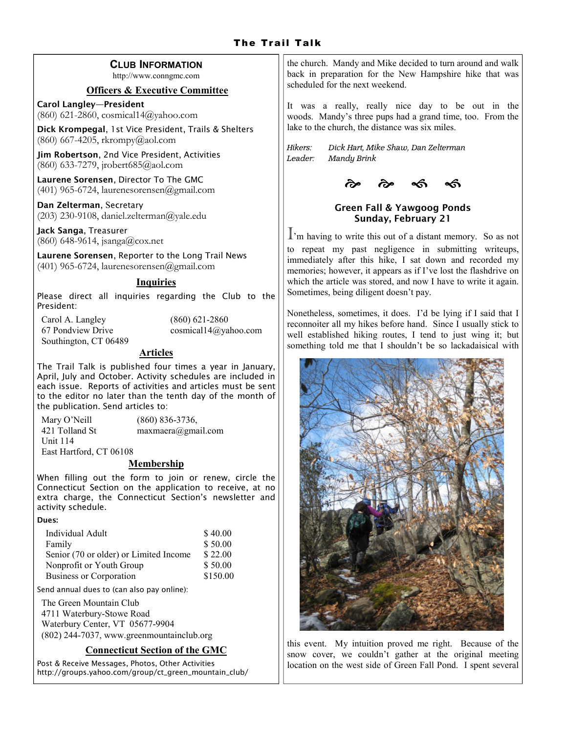# CLUB INFORMATION

http://www.conngmc.com

#### Officers & Executive Committee

Carol Langley—President (860) 621-2860, cosmical14@yahoo.com

Dick Krompegal, 1st Vice President, Trails & Shelters (860) 667-4205, rkrompy@aol.com

Jim Robertson, 2nd Vice President, Activities (860) 633-7279, jrobert685@aol.com

Laurene Sorensen, Director To The GMC  $(401)$  965-6724, laurenesorensen@gmail.com

Dan Zelterman, Secretary (203) 230-9108, daniel.zelterman@yale.edu

Jack Sanga, Treasurer (860) 648-9614, jsanga@cox.net

Laurene Sorensen, Reporter to the Long Trail News  $(401)$  965-6724, laurenesorensen@gmail.com

# Inquiries

Please direct all inquiries regarding the Club to the President:

Carol A. Langley (860) 621-2860 Southington, CT 06489

67 Pondview Drive cosmical14@yahoo.com

# Articles

The Trail Talk is published four times a year in January, April, July and October. Activity schedules are included in each issue. Reports of activities and articles must be sent to the editor no later than the tenth day of the month of the publication. Send articles to:

| Mary O'Neill            | $(860) 836 - 3736,$          |
|-------------------------|------------------------------|
| 421 Tolland St          | $maxmaera(\theta)$ gmail.com |
| Unit $114$              |                              |
| East Hartford, CT 06108 |                              |

# **Membership**

When filling out the form to join or renew, circle the Connecticut Section on the application to receive, at no extra charge, the Connecticut Section's newsletter and activity schedule.

Dues:

| Individual Adult                       | \$40.00  |
|----------------------------------------|----------|
| Family                                 | \$50.00  |
| Senior (70 or older) or Limited Income | \$22.00  |
| Nonprofit or Youth Group               | \$50.00  |
| Business or Corporation                | \$150.00 |

Send annual dues to (can also pay online):

The Green Mountain Club 4711 Waterbury-Stowe Road Waterbury Center, VT 05677-9904 (802) 244-7037, www.greenmountainclub.org

# Connecticut Section of the GMC

Post & Receive Messages, Photos, Other Activities http://groups.yahoo.com/group/ct\_green\_mountain\_club/ the church. Mandy and Mike decided to turn around and walk back in preparation for the New Hampshire hike that was scheduled for the next weekend.

It was a really, really nice day to be out in the woods. Mandy's three pups had a grand time, too. From the lake to the church, the distance was six miles.

*Hikers: Dick Hart, Mike Shaw, Dan Zelterman Leader: Mandy Brink* 



# Green Fall & Yawgoog Ponds Sunday, February 21

I'm having to write this out of a distant memory. So as not

to repeat my past negligence in submitting writeups, immediately after this hike, I sat down and recorded my memories; however, it appears as if I've lost the flashdrive on which the article was stored, and now I have to write it again. Sometimes, being diligent doesn't pay.

Nonetheless, sometimes, it does. I'd be lying if I said that I reconnoiter all my hikes before hand. Since I usually stick to well established hiking routes, I tend to just wing it; but something told me that I shouldn't be so lackadaisical with



this event. My intuition proved me right. Because of the snow cover, we couldn't gather at the original meeting location on the west side of Green Fall Pond. I spent several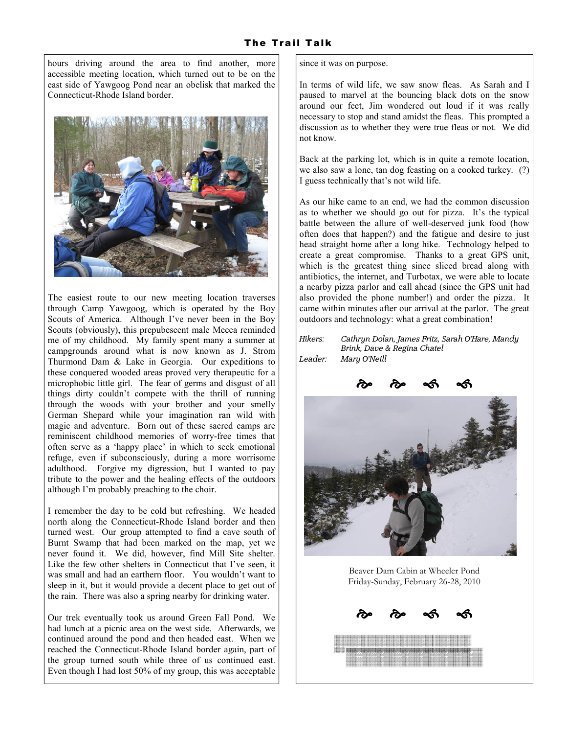hours driving around the area to find another, more accessible meeting location, which turned out to be on the east side of Yawgoog Pond near an obelisk that marked the Connecticut-Rhode Island border.



The easiest route to our new meeting location traverses through Camp Yawgoog, which is operated by the Boy Scouts of America. Although I've never been in the Boy Scouts (obviously), this prepubescent male Mecca reminded me of my childhood. My family spent many a summer at campgrounds around what is now known as J. Strom Thurmond Dam & Lake in Georgia. Our expeditions to these conquered wooded areas proved very therapeutic for a microphobic little girl. The fear of germs and disgust of all things dirty couldn't compete with the thrill of running through the woods with your brother and your smelly German Shepard while your imagination ran wild with magic and adventure. Born out of these sacred camps are reminiscent childhood memories of worry-free times that often serve as a 'happy place' in which to seek emotional refuge, even if subconsciously, during a more worrisome adulthood. Forgive my digression, but I wanted to pay tribute to the power and the healing effects of the outdoors although I'm probably preaching to the choir.

I remember the day to be cold but refreshing. We headed north along the Connecticut-Rhode Island border and then turned west. Our group attempted to find a cave south of Burnt Swamp that had been marked on the map, yet we never found it. We did, however, find Mill Site shelter. Like the few other shelters in Connecticut that I've seen, it was small and had an earthern floor. You wouldn't want to sleep in it, but it would provide a decent place to get out of the rain. There was also a spring nearby for drinking water.

Our trek eventually took us around Green Fall Pond. We had lunch at a picnic area on the west side. Afterwards, we continued around the pond and then headed east. When we reached the Connecticut-Rhode Island border again, part of the group turned south while three of us continued east. Even though I had lost 50% of my group, this was acceptable

since it was on purpose.

In terms of wild life, we saw snow fleas. As Sarah and I paused to marvel at the bouncing black dots on the snow around our feet, Jim wondered out loud if it was really necessary to stop and stand amidst the fleas. This prompted a discussion as to whether they were true fleas or not. We did not know.

Back at the parking lot, which is in quite a remote location, we also saw a lone, tan dog feasting on a cooked turkey. (?) I guess technically that's not wild life.

As our hike came to an end, we had the common discussion as to whether we should go out for pizza. It's the typical battle between the allure of well-deserved junk food (how often does that happen?) and the fatigue and desire to just head straight home after a long hike. Technology helped to create a great compromise. Thanks to a great GPS unit, which is the greatest thing since sliced bread along with antibiotics, the internet, and Turbotax, we were able to locate a nearby pizza parlor and call ahead (since the GPS unit had also provided the phone number!) and order the pizza. It came within minutes after our arrival at the parlor. The great outdoors and technology: what a great combination!

| <i>Hikers:</i> | Cathryn Dolan, James Fritz, Sarah O'Hare, Mandy |
|----------------|-------------------------------------------------|
|                | Brink, Dave & Regina Chatel                     |
| Leader:        | Maru O'Neill                                    |



Beaver Dam Cabin at Wheeler Pond Friday-Sunday, February 26-28, 2010

e<br>20 estes  $\sim$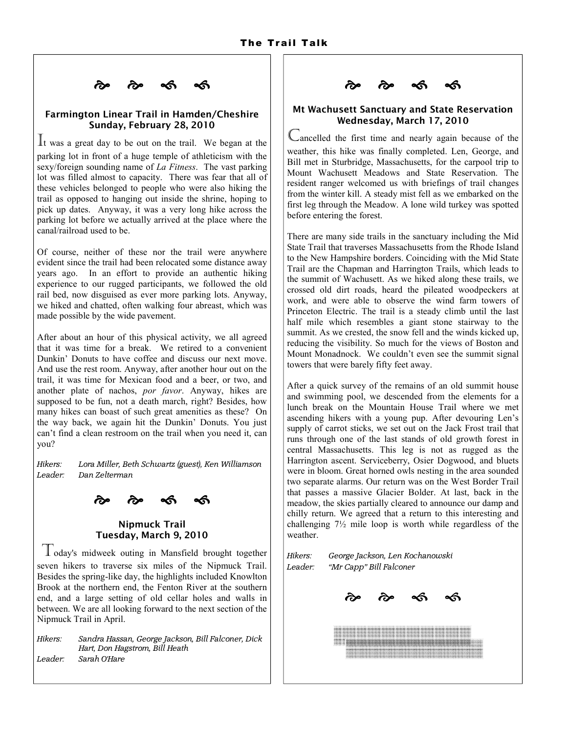

#### Farmington Linear Trail in Hamden/Cheshire Sunday, February 28, 2010

It was a great day to be out on the trail. We began at the parking lot in front of a huge temple of athleticism with the sexy/foreign sounding name of La Fitness. The vast parking lot was filled almost to capacity. There was fear that all of these vehicles belonged to people who were also hiking the trail as opposed to hanging out inside the shrine, hoping to pick up dates. Anyway, it was a very long hike across the parking lot before we actually arrived at the place where the canal/railroad used to be.

Of course, neither of these nor the trail were anywhere evident since the trail had been relocated some distance away years ago. In an effort to provide an authentic hiking experience to our rugged participants, we followed the old rail bed, now disguised as ever more parking lots. Anyway, we hiked and chatted, often walking four abreast, which was made possible by the wide pavement.

After about an hour of this physical activity, we all agreed that it was time for a break. We retired to a convenient Dunkin' Donuts to have coffee and discuss our next move. And use the rest room. Anyway, after another hour out on the trail, it was time for Mexican food and a beer, or two, and another plate of nachos, por favor. Anyway, hikes are supposed to be fun, not a death march, right? Besides, how many hikes can boast of such great amenities as these? On the way back, we again hit the Dunkin' Donuts. You just can't find a clean restroom on the trail when you need it, can you?

*Hikers: Lora Miller, Beth Schwartz (guest), Ken Williamson Leader: Dan Zelterman* 

a<br>3 a 3  $-$ 

# Nipmuck Trail Tuesday, March 9, 2010

Today's midweek outing in Mansfield brought together seven hikers to traverse six miles of the Nipmuck Trail. Besides the spring-like day, the highlights included Knowlton Brook at the northern end, the Fenton River at the southern end, and a large setting of old cellar holes and walls in between. We are all looking forward to the next section of the Nipmuck Trail in April.

*Hikers: Sandra Hassan, George Jackson, Bill Falconer, Dick Hart, Don Hagstrom, Bill Heath Leader: Sarah O'Hare* 

es es estados en estados en entre en elabor en el entre en el estado en el entre en el estado en el entre en e<br>en el entre en el entre en el entre en el entre en el entre en el entre en el entre en el entre en el en el en<br>  $\sim$ 

#### Mt Wachusett Sanctuary and State Reservation Wednesday, March 17, 2010

Cancelled the first time and nearly again because of the weather, this hike was finally completed. Len, George, and Bill met in Sturbridge, Massachusetts, for the carpool trip to Mount Wachusett Meadows and State Reservation. The resident ranger welcomed us with briefings of trail changes from the winter kill. A steady mist fell as we embarked on the first leg through the Meadow. A lone wild turkey was spotted before entering the forest.

There are many side trails in the sanctuary including the Mid State Trail that traverses Massachusetts from the Rhode Island to the New Hampshire borders. Coinciding with the Mid State Trail are the Chapman and Harrington Trails, which leads to the summit of Wachusett. As we hiked along these trails, we crossed old dirt roads, heard the pileated woodpeckers at work, and were able to observe the wind farm towers of Princeton Electric. The trail is a steady climb until the last half mile which resembles a giant stone stairway to the summit. As we crested, the snow fell and the winds kicked up, reducing the visibility. So much for the views of Boston and Mount Monadnock. We couldn't even see the summit signal towers that were barely fifty feet away.

After a quick survey of the remains of an old summit house and swimming pool, we descended from the elements for a lunch break on the Mountain House Trail where we met ascending hikers with a young pup. After devouring Len's supply of carrot sticks, we set out on the Jack Frost trail that runs through one of the last stands of old growth forest in central Massachusetts. This leg is not as rugged as the Harrington ascent. Serviceberry, Osier Dogwood, and bluets were in bloom. Great horned owls nesting in the area sounded two separate alarms. Our return was on the West Border Trail that passes a massive Glacier Bolder. At last, back in the meadow, the skies partially cleared to announce our damp and chilly return. We agreed that a return to this interesting and challenging 7½ mile loop is worth while regardless of the weather.

Hikers: *Hikers: George Jackson, Len Kochanowski Leader: "Mr Capp" Bill Falconer*